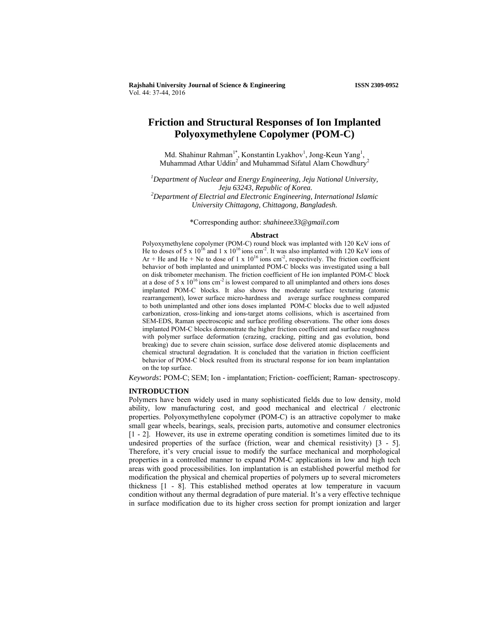**Rajshahi University Journal of Science & Engineering ISSN 2309-0952** Vol. 44: 37-44, 2016

# **Friction and Structural Responses of Ion Implanted Polyoxymethylene Copolymer (POM-C)**

Md. Shahinur Rahman<sup>1\*</sup>, Konstantin Lyakhov<sup>1</sup>, Jong-Keun Yang<sup>1</sup>, Muhammad Athar Uddin<sup>2</sup> and Muhammad Sifatul Alam Chowdhury<sup>2</sup>

*1 Department of Nuclear and Energy Engineering, Jeju National University, Jeju 63243, Republic of Korea. 2 Department of Electrial and Electronic Engineering, International Islamic University Chittagong, Chittagong, Bangladesh.* 

\*Corresponding author: *shahineee33@gmail.com*

#### **Abstract**

Polyoxymethylene copolymer (POM-C) round block was implanted with 120 KeV ions of He to doses of 5 x  $10^{16}$  and 1 x  $10^{16}$  ions cm<sup>2</sup>. It was also implanted with 120 KeV ions of Ar + He and He + Ne to dose of 1 x  $10^{16}$  ions cm<sup>-2</sup>, respectively. The friction coefficient behavior of both implanted and unimplanted POM-C blocks was investigated using a ball on disk tribometer mechanism. The friction coefficient of He ion implanted POM-C block at a dose of 5 x  $10^{16}$  ions cm<sup>-2</sup> is lowest compared to all unimplanted and others ions doses implanted POM-C blocks. It also shows the moderate surface texturing (atomic rearrangement), lower surface micro-hardness and average surface roughness compared to both unimplanted and other ions doses implanted POM-C blocks due to well adjusted carbonization, cross-linking and ions-target atoms collisions, which is ascertained from SEM-EDS, Raman spectroscopic and surface profiling observations. The other ions doses implanted POM-C blocks demonstrate the higher friction coefficient and surface roughness with polymer surface deformation (crazing, cracking, pitting and gas evolution, bond breaking) due to severe chain scission, surface dose delivered atomic displacements and chemical structural degradation. It is concluded that the variation in friction coefficient behavior of POM-C block resulted from its structural response for ion beam implantation on the top surface.

*Keywords*: POM-C; SEM; Ion - implantation; Friction- coefficient; Raman- spectroscopy.

#### **INTRODUCTION**

Polymers have been widely used in many sophisticated fields due to low density, mold ability, low manufacturing cost, and good mechanical and electrical / electronic properties. Polyoxymethylene copolymer (POM-C) is an attractive copolymer to make small gear wheels, bearings, seals, precision parts, automotive and consumer electronics [1 - 2]. However, its use in extreme operating condition is sometimes limited due to its undesired properties of the surface (friction, wear and chemical resistivity) [3 - 5]. Therefore, it's very crucial issue to modify the surface mechanical and morphological properties in a controlled manner to expand POM-C applications in low and high tech areas with good processibilities. Ion implantation is an established powerful method for modification the physical and chemical properties of polymers up to several micrometers thickness [1 - 8]. This established method operates at low temperature in vacuum condition without any thermal degradation of pure material. It's a very effective technique in surface modification due to its higher cross section for prompt ionization and larger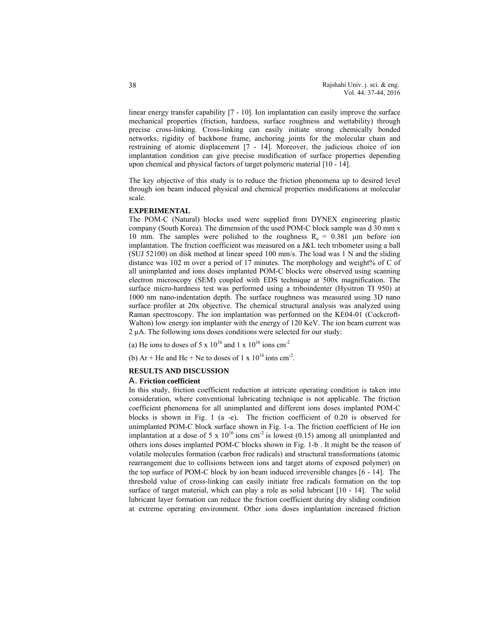linear energy transfer capability [7 - 10]. Ion implantation can easily improve the surface mechanical properties (friction, hardness, surface roughness and wettability) through precise cross-linking. Cross-linking can easily initiate strong chemically bonded networks, rigidity of backbone frame, anchoring joints for the molecular chain and restraining of atomic displacement [7 - 14]. Moreover, the judicious choice of ion implantation condition can give precise modification of surface properties depending upon chemical and physical factors of target polymeric material [10 - 14].

The key objective of this study is to reduce the friction phenomena up to desired level through ion beam induced physical and chemical properties modifications at molecular scale.

#### **EXPERIMENTAL**

The POM-C (Natural) blocks used were supplied from DYNEX engineering plastic company (South Korea). The dimension of the used POM-C block sample was d 30 mm x 10 mm. The samples were polished to the roughness  $R_a = 0.381 \mu m$  before ion implantation. The friction coefficient was measured on a J&L tech tribometer using a ball (SUJ 52100) on disk method at linear speed 100 mm/s. The load was 1 N and the sliding distance was 102 m over a period of 17 minutes. The morphology and weight% of C of all unimplanted and ions doses implanted POM-C blocks were observed using scanning electron microscopy (SEM) coupled with EDS technique at 500x magnification. The surface micro-hardness test was performed using a triboindenter (Hysitron TI 950) at 1000 nm nano-indentation depth. The surface roughness was measured using 3D nano surface profiler at 20x objective. The chemical structural analysis was analyzed using Raman spectroscopy. The ion implantation was performed on the KE04-01 (Cockcroft-Walton) low energy ion implanter with the energy of 120 KeV. The ion beam current was 2 µA. The following ions doses conditions were selected for our study:

(a) He ions to doses of 5 x  $10^{16}$  and 1 x  $10^{16}$  ions cm<sup>-2</sup>

(b) Ar + He and He + Ne to doses of 1 x  $10^{16}$  ions cm<sup>-2</sup>.

### **RESULTS AND DISCUSSION**

#### A. **Friction coefficient**

In this study, friction coefficient reduction at intricate operating condition is taken into consideration, where conventional lubricating technique is not applicable. The friction coefficient phenomena for all unimplanted and different ions doses implanted POM-C blocks is shown in Fig. 1 (a -e). The friction coefficient of 0.20 is observed for unimplanted POM-C block surface shown in Fig. 1-a. The friction coefficient of He ion implantation at a dose of 5 x  $10^{16}$  ions cm<sup>-2</sup> is lowest (0.15) among all unimplanted and others ions doses implanted POM-C blocks shown in Fig. 1-b . It might be the reason of volatile molecules formation (carbon free radicals) and structural transformations (atomic rearrangement due to collisions between ions and target atoms of exposed polymer) on the top surface of POM-C block by ion beam induced irreversible changes [6 - 14]. The threshold value of cross-linking can easily initiate free radicals formation on the top surface of target material, which can play a role as solid lubricant [10 - 14]. The solid lubricant layer formation can reduce the friction coefficient during dry sliding condition at extreme operating environment. Other ions doses implantation increased friction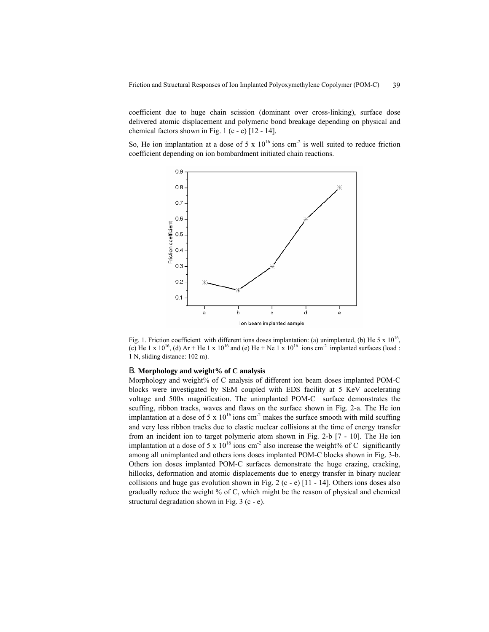coefficient due to huge chain scission (dominant over cross-linking), surface dose delivered atomic displacement and polymeric bond breakage depending on physical and chemical factors shown in Fig. 1 (c - e)  $[12 - 14]$ .

So, He ion implantation at a dose of 5 x  $10^{16}$  ions cm<sup>-2</sup> is well suited to reduce friction coefficient depending on ion bombardment initiated chain reactions.



Fig. 1. Friction coefficient with different ions doses implantation: (a) unimplanted, (b) He 5 x  $10^{16}$ , (c) He 1 x 10<sup>16</sup>, (d) Ar + He 1 x 10<sup>16</sup> and (e) He + Ne 1 x 10<sup>16</sup> ions cm<sup>-2</sup> implanted surfaces (load : 1 N, sliding distance: 102 m).

## B. **Morphology and weight% of C analysis**

Morphology and weight% of C analysis of different ion beam doses implanted POM-C blocks were investigated by SEM coupled with EDS facility at 5 KeV accelerating voltage and 500x magnification. The unimplanted POM-C surface demonstrates the scuffing, ribbon tracks, waves and flaws on the surface shown in Fig. 2-a. The He ion implantation at a dose of 5 x  $10^{16}$  ions cm<sup>-2</sup> makes the surface smooth with mild scuffing and very less ribbon tracks due to elastic nuclear collisions at the time of energy transfer from an incident ion to target polymeric atom shown in Fig. 2-b [7 - 10]. The He ion implantation at a dose of 5 x  $10^{16}$  ions cm<sup>-2</sup> also increase the weight% of C significantly among all unimplanted and others ions doses implanted POM-C blocks shown in Fig. 3-b. Others ion doses implanted POM-C surfaces demonstrate the huge crazing, cracking, hillocks, deformation and atomic displacements due to energy transfer in binary nuclear collisions and huge gas evolution shown in Fig. 2 (c - e)  $[11 - 14]$ . Others ions doses also gradually reduce the weight % of C, which might be the reason of physical and chemical structural degradation shown in Fig. 3 (c - e).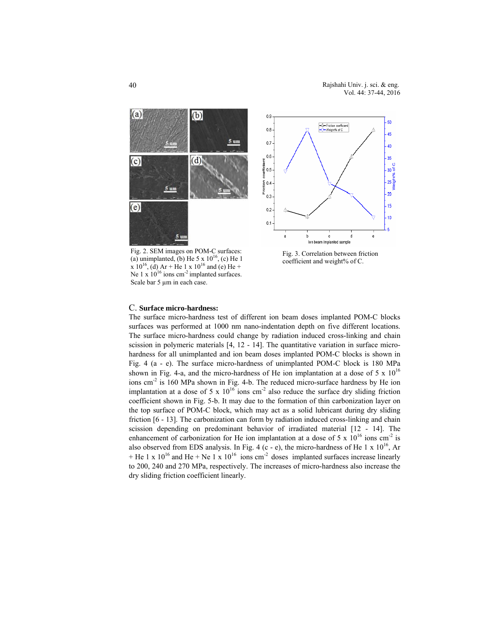

(a) unimplanted, (b) He 5  $\times$  10<sup>16</sup>, (c) He 1 Fig. 2. SEM images on POM-C surfaces: x 10<sup>16</sup>, (d) Ar + He 1 x 10<sup>16</sup> and (e) He + Ne 1 x  $10^{16}$  ions cm<sup>-2</sup> implanted surfaces. Scale bar 5 um in each case.



Fig. 3. Correlation between friction coefficient and weight% of C.

#### C. **Surface micro-hardness:**

The surface micro-hardness test of different ion beam doses implanted POM-C blocks surfaces was performed at 1000 nm nano-indentation depth on five different locations. The surface micro-hardness could change by radiation induced cross-linking and chain scission in polymeric materials [4, 12 - 14]. The quantitative variation in surface microhardness for all unimplanted and ion beam doses implanted POM-C blocks is shown in Fig. 4 (a - e). The surface micro-hardness of unimplanted POM-C block is 180 MPa shown in Fig. 4-a, and the micro-hardness of He ion implantation at a dose of 5 x  $10^{16}$ ions cm<sup>-2</sup> is 160 MPa shown in Fig. 4-b. The reduced micro-surface hardness by He ion implantation at a dose of 5 x  $10^{16}$  ions cm<sup>-2</sup> also reduce the surface dry sliding friction coefficient shown in Fig. 5-b. It may due to the formation of thin carbonization layer on the top surface of POM-C block, which may act as a solid lubricant during dry sliding friction [6 - 13]. The carbonization can form by radiation induced cross-linking and chain scission depending on predominant behavior of irradiated material [12 - 14]. The enhancement of carbonization for He ion implantation at a dose of 5 x  $10^{16}$  ions cm<sup>-2</sup> is also observed from EDS analysis. In Fig. 4 (c - e), the micro-hardness of He 1 x  $10^{16}$ , Ar + He 1 x  $10^{16}$  and He + Ne 1 x  $10^{16}$  ions cm<sup>-2</sup> doses implanted surfaces increase linearly to 200, 240 and 270 MPa, respectively. The increases of micro-hardness also increase the dry sliding friction coefficient linearly.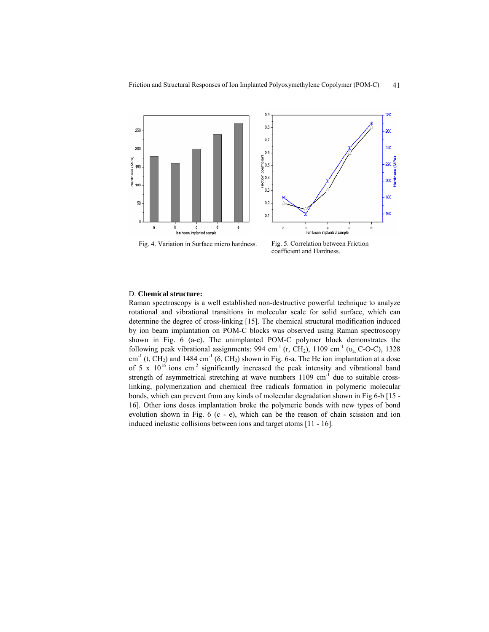

Fig. 4. Variation in Surface micro hardness. Fig. 5. Correlation between Friction

## coefficient and Hardness.

### D. **Chemical structure:**

Raman spectroscopy is a well established non-destructive powerful technique to analyze rotational and vibrational transitions in molecular scale for solid surface, which can determine the degree of cross-linking [15]. The chemical structural modification induced by ion beam implantation on POM-C blocks was observed using Raman spectroscopy shown in Fig. 6 (a-e). The unimplanted POM-C polymer block demonstrates the following peak vibrational assignments:  $994 \text{ cm}^{-1}$  (r, CH<sub>2</sub>),  $1109 \text{ cm}^{-1}$  ( $v_a$ , C-O-C),  $1328 \text{ m}^{-1}$ cm<sup>-1</sup> (t, CH<sub>2</sub>) and 1484 cm<sup>-1</sup> ( $\delta$ , CH<sub>2</sub>) shown in Fig. 6-a. The He ion implantation at a dose of 5 x  $10^{16}$  ions cm<sup>-2</sup> significantly increased the peak intensity and vibrational band strength of asymmetrical stretching at wave numbers 1109 cm<sup>-1</sup> due to suitable crosslinking, polymerization and chemical free radicals formation in polymeric molecular bonds, which can prevent from any kinds of molecular degradation shown in Fig 6-b [15 - 16]. Other ions doses implantation broke the polymeric bonds with new types of bond evolution shown in Fig. 6 (c - e), which can be the reason of chain scission and ion induced inelastic collisions between ions and target atoms [11 - 16].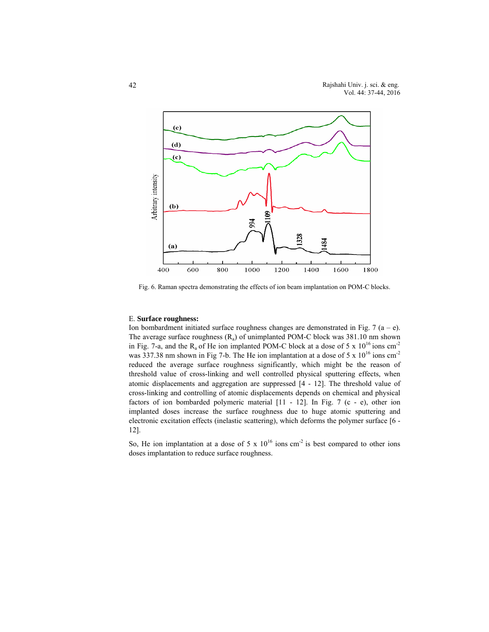

Fig. 6. Raman spectra demonstrating the effects of ion beam implantation on POM-C blocks.

#### E. **Surface roughness:**

Ion bombardment initiated surface roughness changes are demonstrated in Fig. 7  $(a - e)$ . The average surface roughness  $(R_a)$  of unimplanted POM-C block was 381.10 nm shown in Fig. 7-a, and the  $R_a$  of He ion implanted POM-C block at a dose of 5 x  $10^{16}$  ions cm<sup>-2</sup> was 337.38 nm shown in Fig 7-b. The He ion implantation at a dose of 5 x  $10^{16}$  ions cm<sup>-2</sup> reduced the average surface roughness significantly, which might be the reason of threshold value of cross-linking and well controlled physical sputtering effects, when atomic displacements and aggregation are suppressed [4 - 12]. The threshold value of cross-linking and controlling of atomic displacements depends on chemical and physical factors of ion bombarded polymeric material  $[11 - 12]$ . In Fig. 7 (c - e), other ion implanted doses increase the surface roughness due to huge atomic sputtering and electronic excitation effects (inelastic scattering), which deforms the polymer surface [6 - 12].

So, He ion implantation at a dose of 5 x  $10^{16}$  ions cm<sup>-2</sup> is best compared to other ions doses implantation to reduce surface roughness.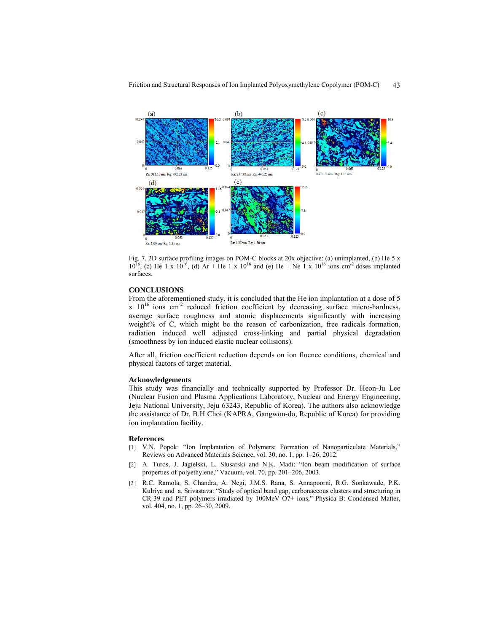

Friction and Structural Responses of Ion Implanted Polyoxymethylene Copolymer (POM-C) 43

Fig. 7. 2D surface profiling images on POM-C blocks at 20x objective: (a) unimplanted, (b) He 5 x  $10^{16}$ , (c) He 1 x  $10^{16}$ , (d) Ar + He 1 x  $10^{16}$  and (e) He + Ne 1 x  $10^{16}$  ions cm<sup>-2</sup> doses implanted surfaces.

#### **CONCLUSIONS**

From the aforementioned study, it is concluded that the He ion implantation at a dose of 5  $x \times 10^{16}$  ions cm<sup>-2</sup> reduced friction coefficient by decreasing surface micro-hardness, average surface roughness and atomic displacements significantly with increasing weight% of C, which might be the reason of carbonization, free radicals formation, radiation induced well adjusted cross-linking and partial physical degradation (smoothness by ion induced elastic nuclear collisions).

After all, friction coefficient reduction depends on ion fluence conditions, chemical and physical factors of target material.

#### **Acknowledgements**

This study was financially and technically supported by Professor Dr. Heon-Ju Lee (Nuclear Fusion and Plasma Applications Laboratory, Nuclear and Energy Engineering, Jeju National University, Jeju 63243, Republic of Korea). The authors also acknowledge the assistance of Dr. B.H Choi (KAPRA, Gangwon-do, Republic of Korea) for providing ion implantation facility.

#### **References**

- [1] V.N. Popok: "Ion Implantation of Polymers: Formation of Nanoparticulate Materials," Reviews on Advanced Materials Science, vol. 30, no. 1, pp. 1–26, 2012.
- [2] A. Turos, J. Jagielski, L. Slusarski and N.K. Madi: "Ion beam modification of surface properties of polyethylene," Vacuum, vol. 70, pp. 201–206, 2003.
- [3] R.C. Ramola, S. Chandra, A. Negi, J.M.S. Rana, S. Annapoorni, R.G. Sonkawade, P.K. Kulriya and a. Srivastava: "Study of optical band gap, carbonaceous clusters and structuring in CR-39 and PET polymers irradiated by 100MeV O7+ ions," Physica B: Condensed Matter, vol. 404, no. 1, pp. 26–30, 2009.